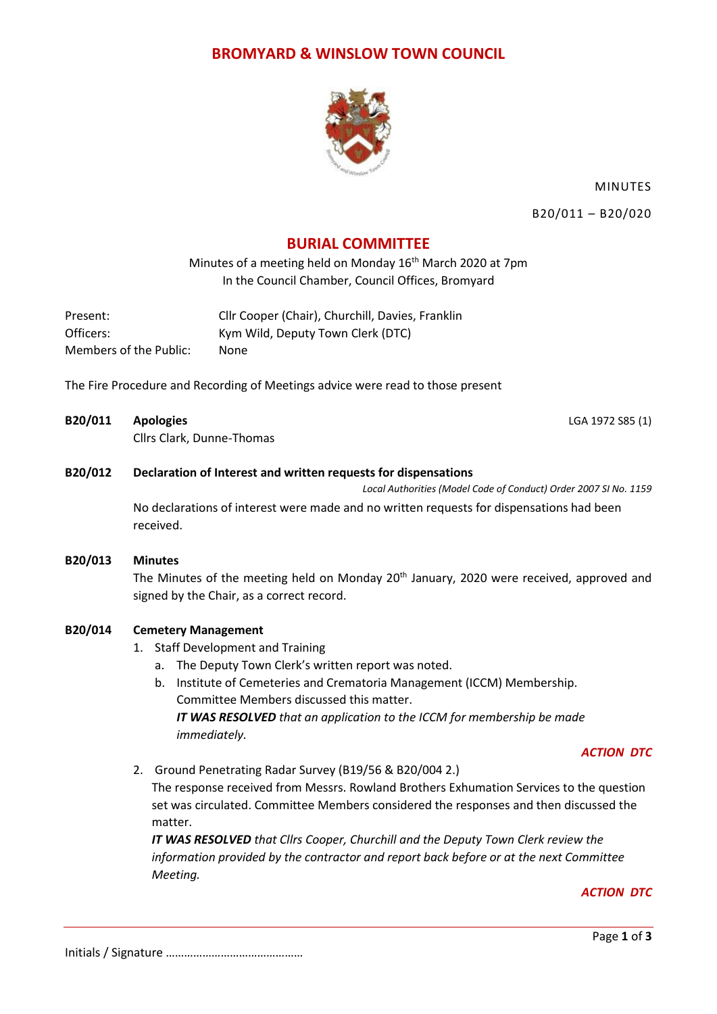### **BROMYARD & WINSLOW TOWN COUNCIL**



MINUTES

B20/011 – B20/020

# **BURIAL COMMITTEE**

Minutes of a meeting held on Monday 16<sup>th</sup> March 2020 at 7pm In the Council Chamber, Council Offices, Bromyard

| Present:               | Cllr Cooper (Chair), Churchill, Davies, Franklin |
|------------------------|--------------------------------------------------|
| Officers:              | Kym Wild, Deputy Town Clerk (DTC)                |
| Members of the Public: | None                                             |

The Fire Procedure and Recording of Meetings advice were read to those present

**B20/011 Apologies** LGA 1972 S85 (1) Cllrs Clark, Dunne-Thomas

#### **B20/012 Declaration of Interest and written requests for dispensations**

*Local Authorities (Model Code of Conduct) Order 2007 SI No. 1159*

No declarations of interest were made and no written requests for dispensations had been received.

**B20/013 Minutes** The Minutes of the meeting held on Monday 20<sup>th</sup> January, 2020 were received, approved and signed by the Chair, as a correct record.

### **B20/014 Cemetery Management**

- 1. Staff Development and Training
	- a. The Deputy Town Clerk's written report was noted.
	- b. Institute of Cemeteries and Crematoria Management (ICCM) Membership. Committee Members discussed this matter. *IT WAS RESOLVED that an application to the ICCM for membership be made immediately.*

#### *ACTION DTC*

2. Ground Penetrating Radar Survey (B19/56 & B20/004 2.)

The response received from Messrs. Rowland Brothers Exhumation Services to the question set was circulated. Committee Members considered the responses and then discussed the matter.

*IT WAS RESOLVED that Cllrs Cooper, Churchill and the Deputy Town Clerk review the information provided by the contractor and report back before or at the next Committee Meeting.*

*ACTION DTC*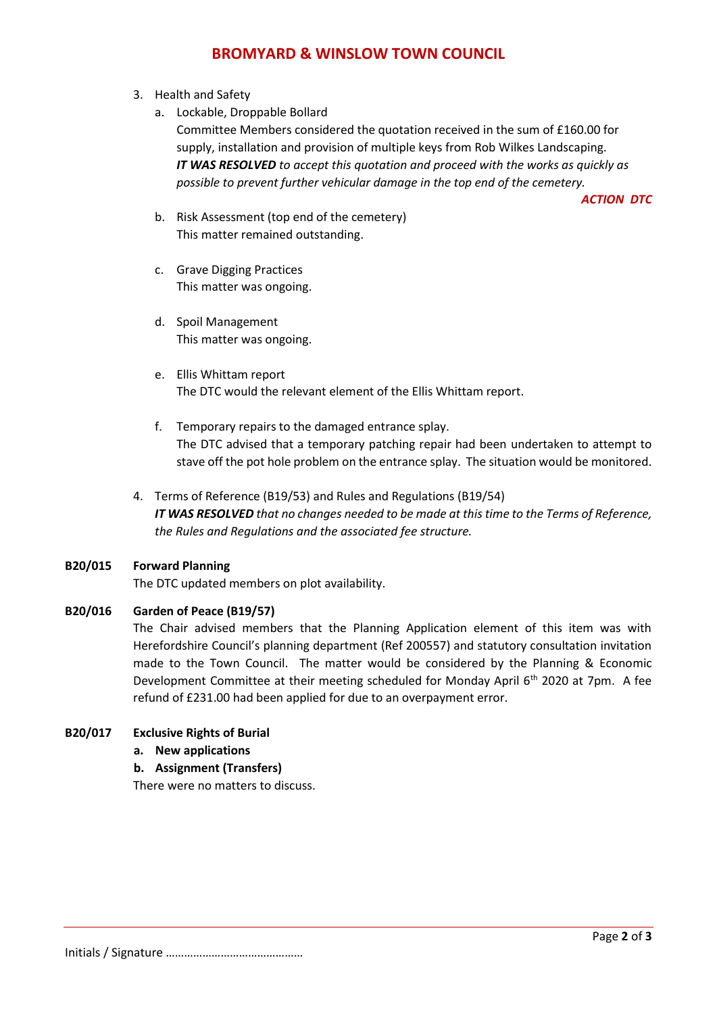# **BROMYARD & WINSLOW TOWN COUNCIL**

- 3. Health and Safety
	- a. Lockable, Droppable Bollard Committee Members considered the quotation received in the sum of £160.00 for supply, installation and provision of multiple keys from Rob Wilkes Landscaping. *IT WAS RESOLVED to accept this quotation and proceed with the works as quickly as possible to prevent further vehicular damage in the top end of the cemetery.*

*ACTION DTC*

- b. Risk Assessment (top end of the cemetery) This matter remained outstanding.
- c. Grave Digging Practices This matter was ongoing.
- d. Spoil Management This matter was ongoing.
- e. Ellis Whittam report The DTC would the relevant element of the Ellis Whittam report.
- f. Temporary repairs to the damaged entrance splay. The DTC advised that a temporary patching repair had been undertaken to attempt to stave off the pot hole problem on the entrance splay. The situation would be monitored.
- 4. Terms of Reference (B19/53) and Rules and Regulations (B19/54) *IT WAS RESOLVED that no changes needed to be made at this time to the Terms of Reference, the Rules and Regulations and the associated fee structure.*

#### **B20/015 Forward Planning**

The DTC updated members on plot availability.

### **B20/016 Garden of Peace (B19/57)**

The Chair advised members that the Planning Application element of this item was with Herefordshire Council's planning department (Ref 200557) and statutory consultation invitation made to the Town Council. The matter would be considered by the Planning & Economic Development Committee at their meeting scheduled for Monday April 6th 2020 at 7pm. A fee refund of £231.00 had been applied for due to an overpayment error.

#### **B20/017 Exclusive Rights of Burial**

**a. New applications**

#### **b. Assignment (Transfers)**

There were no matters to discuss.